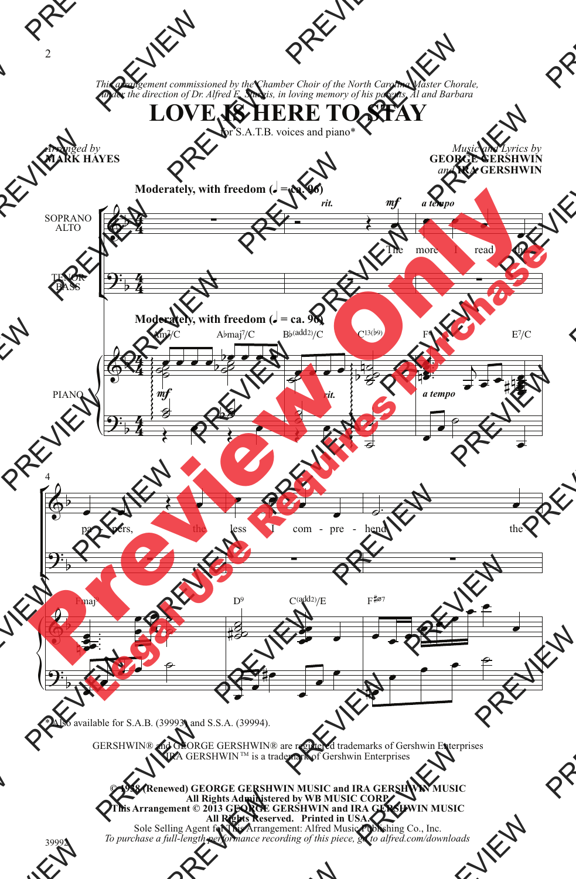*This arrangement commissioned by the Chamber Choir of the North Carolina Master Chorale, under the direction of Dr. Alfred E. Sturgis, in loving memory of his parents, Al and Barbara*

## **LOVE IS HERE TO STAY**

for S.A.T.B. voices and piano\*

*Arranged by* **MARK HAYES**

*Music and Lyrics by* **GEORGE GERSHWIN** *and* **IRA GERSHWIN**



\* Also available for S.A.B. (39993) and S.S.A. (39994).

GERSHWIN® and GEORGE GERSHWIN® are registered trademarks of Gershwin Enterprises IRA GERSHWIN™ is a trademark of Gershwin Enterprises

**© 1938 (Renewed) GEORGE GERSHWIN MUSIC and IRA GERSHWIN MUSIC All Rights Administered by WB MUSIC CORP. This Arrangement © 2013 GEORGE GERSHWIN and IRA GERSHWIN MUSIC All Rights Reserved. Printed in USA.** Sole Selling Agent for This Arrangement: Alfred Music Publishing Co., Inc.

*To purchase a full-length performance recording of this piece, go to alfred.com/downloads*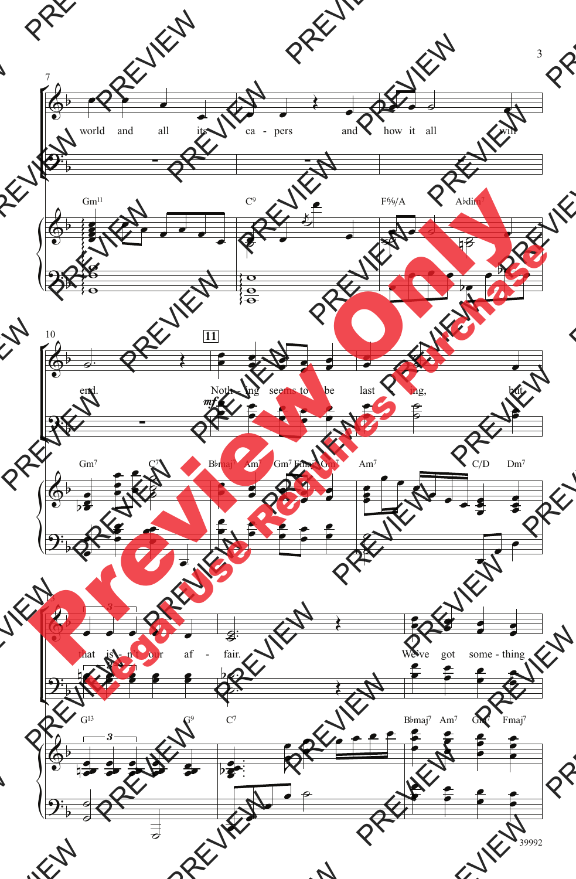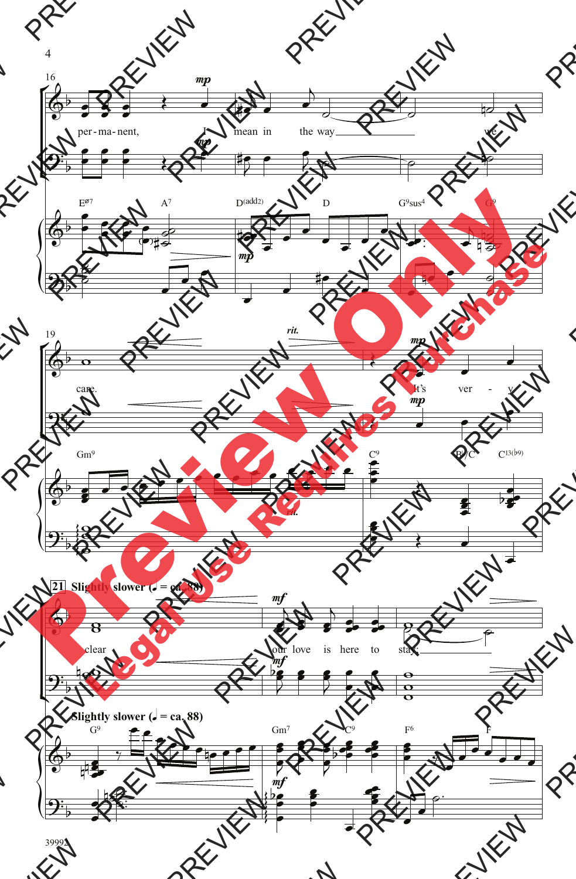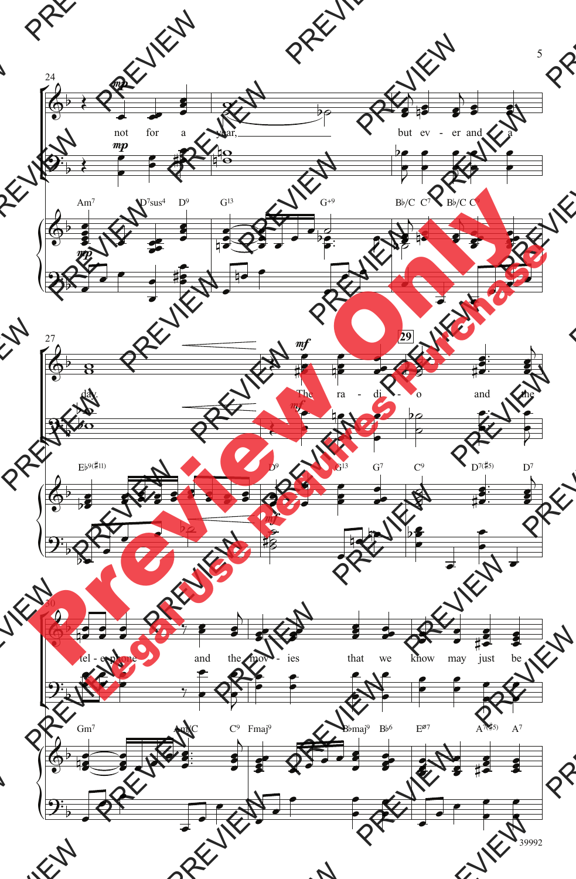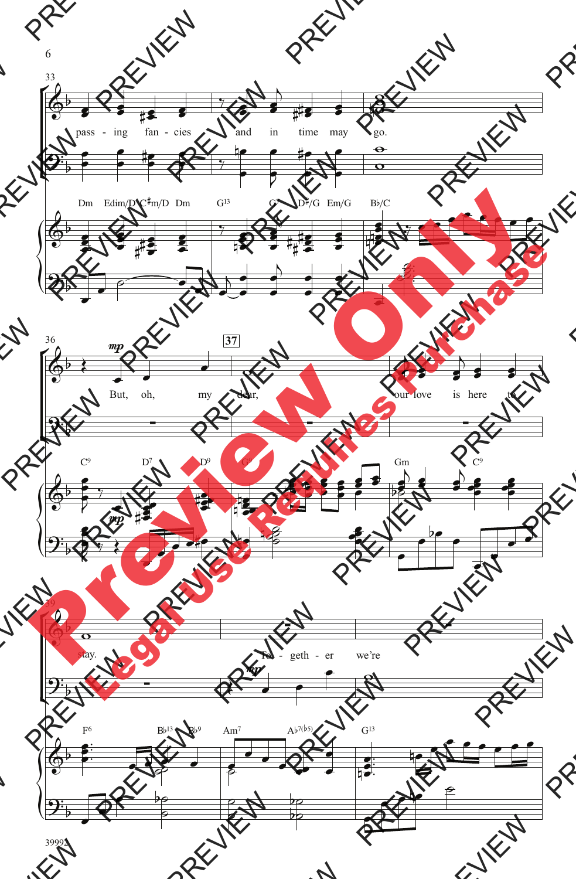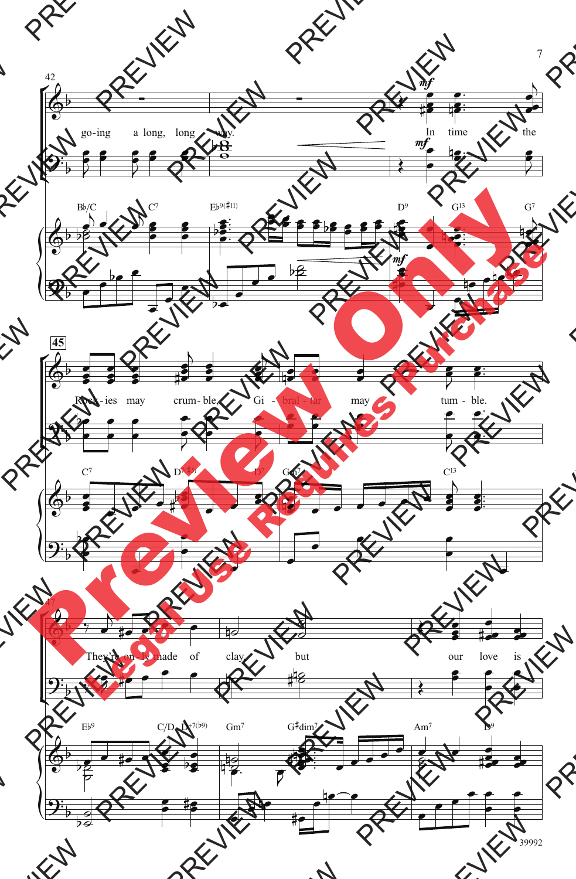

<sup>7</sup>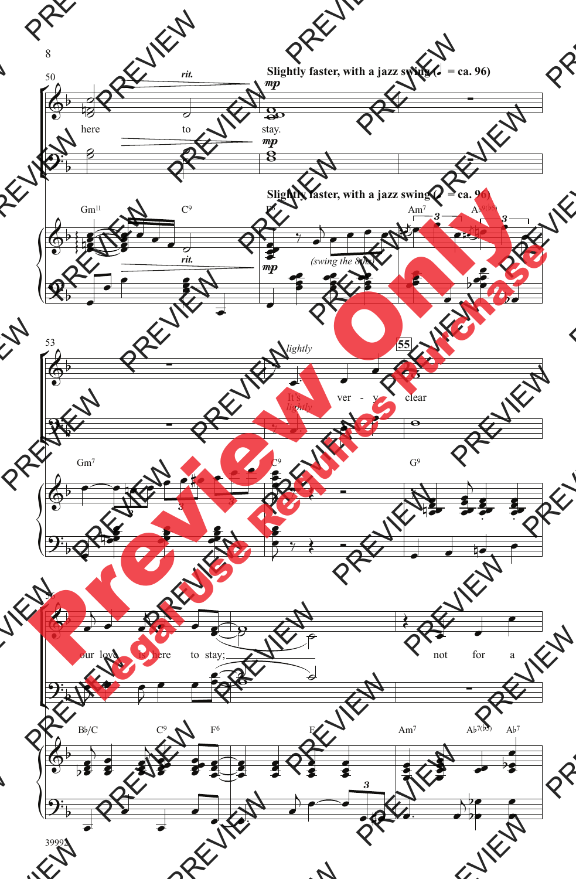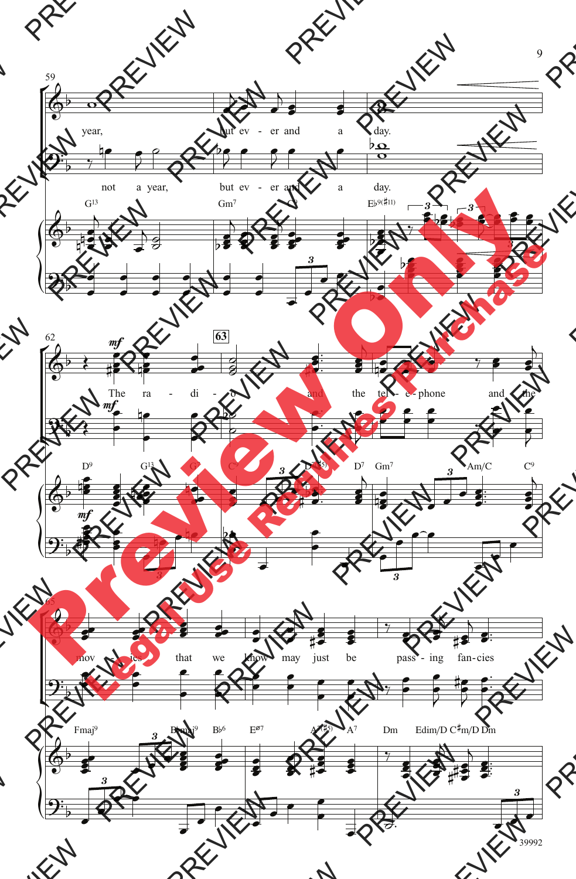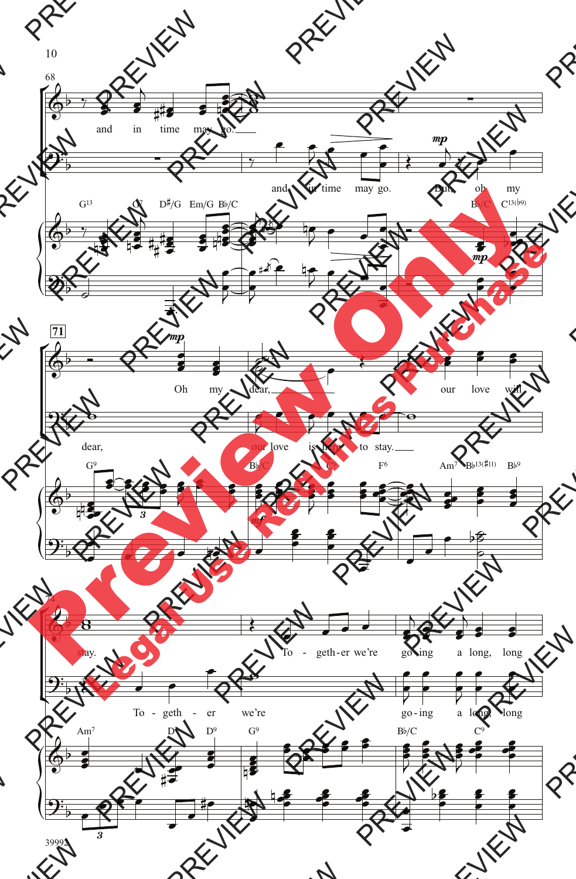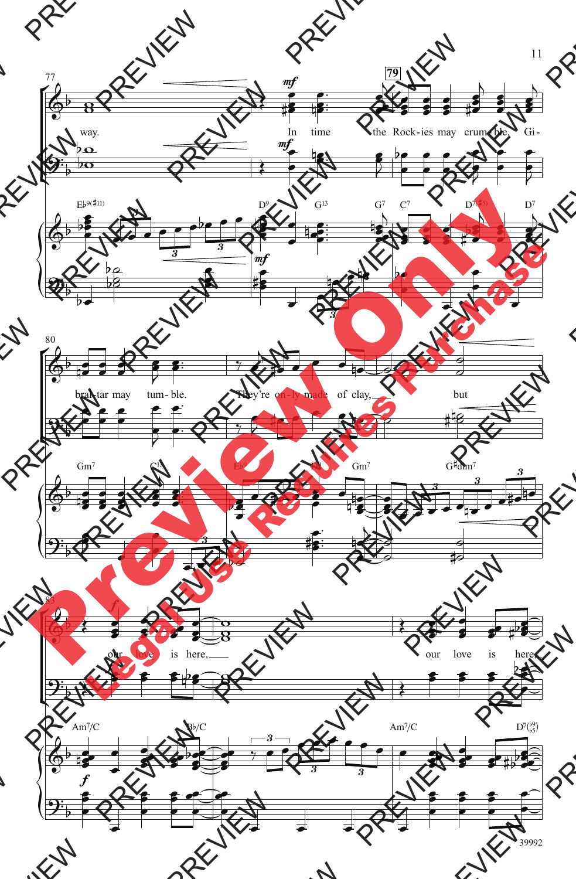